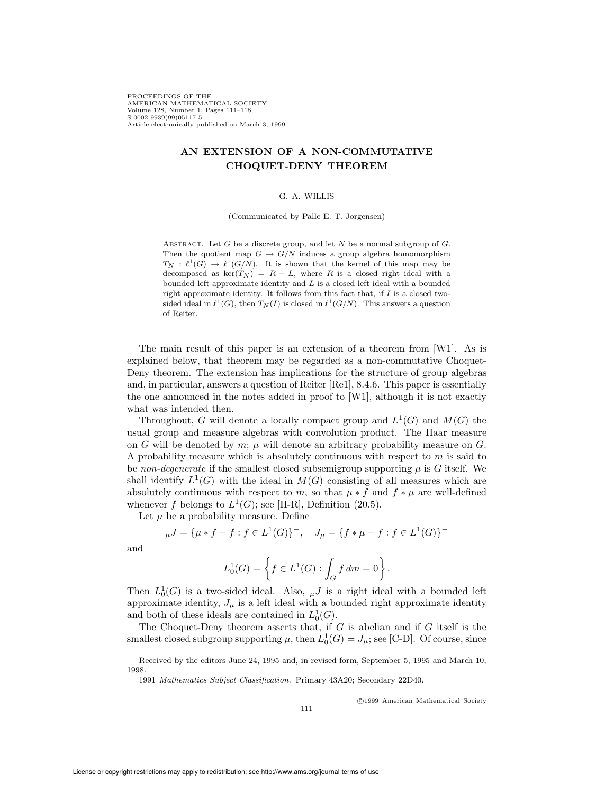PROCEEDINGS OF THE AMERICAN MATHEMATICAL SOCIETY Volume 128, Number 1, Pages 111–118 S 0002-9939(99)05117-5 Article electronically published on March 3, 1999

# AN EXTENSION OF A NON-COMMUTATIVE CHOQUET-DENY THEOREM

#### G. A. WILLIS

(Communicated by Palle E. T. Jorgensen)

ABSTRACT. Let G be a discrete group, and let N be a normal subgroup of  $G$ . Then the quotient map  $G \to G/N$  induces a group algebra homomorphism  $T_N : \ell^1(G) \to \ell^1(G/N)$ . It is shown that the kernel of this map may be decomposed as  $\ker(T_N) = R + L$ , where R is a closed right ideal with a bounded left approximate identity and L is a closed left ideal with a bounded right approximate identity. It follows from this fact that, if  $I$  is a closed twosided ideal in  $\ell^1(G)$ , then  $T_N(I)$  is closed in  $\ell^1(G/N)$ . This answers a question of Reiter.

The main result of this paper is an extension of a theorem from [W1]. As is explained below, that theorem may be regarded as a non-commutative Choquet-Deny theorem. The extension has implications for the structure of group algebras and, in particular, answers a question of Reiter [Re1], 8.4.6. This paper is essentially the one announced in the notes added in proof to [W1], although it is not exactly what was intended then.

Throughout, G will denote a locally compact group and  $L^1(G)$  and  $M(G)$  the usual group and measure algebras with convolution product. The Haar measure on G will be denoted by  $m$ ;  $\mu$  will denote an arbitrary probability measure on G. A probability measure which is absolutely continuous with respect to  $m$  is said to be non-degenerate if the smallest closed subsemigroup supporting  $\mu$  is G itself. We shall identify  $L^1(G)$  with the ideal in  $M(G)$  consisting of all measures which are absolutely continuous with respect to m, so that  $\mu * f$  and  $f * \mu$  are well-defined whenever f belongs to  $L^1(G)$ ; see [H-R], Definition (20.5).

Let  $\mu$  be a probability measure. Define

$$
\mu J = {\mu * f - f : f \in L^{1}(G)}^{-}, \quad J_{\mu} = {\{f * \mu - f : f \in L^{1}(G)\}}^{-}
$$

and

$$
L_0^1(G) = \left\{ f \in L^1(G) : \int_G f \, dm = 0 \right\}.
$$

Then  $L_0^1(G)$  is a two-sided ideal. Also,  $\mu J$  is a right ideal with a bounded left approximate identity,  $J_{\mu}$  is a left ideal with a bounded right approximate identity and both of these ideals are contained in  $L_0^1(G)$ .

The Choquet-Deny theorem asserts that, if  $G$  is abelian and if  $G$  itself is the smallest closed subgroup supporting  $\mu$ , then  $L_0^1(G) = J_\mu$ ; see [C-D]. Of course, since

c 1999 American Mathematical Society

Received by the editors June 24, 1995 and, in revised form, September 5, 1995 and March 10, 1998.

<sup>1991</sup> Mathematics Subject Classification. Primary 43A20; Secondary 22D40.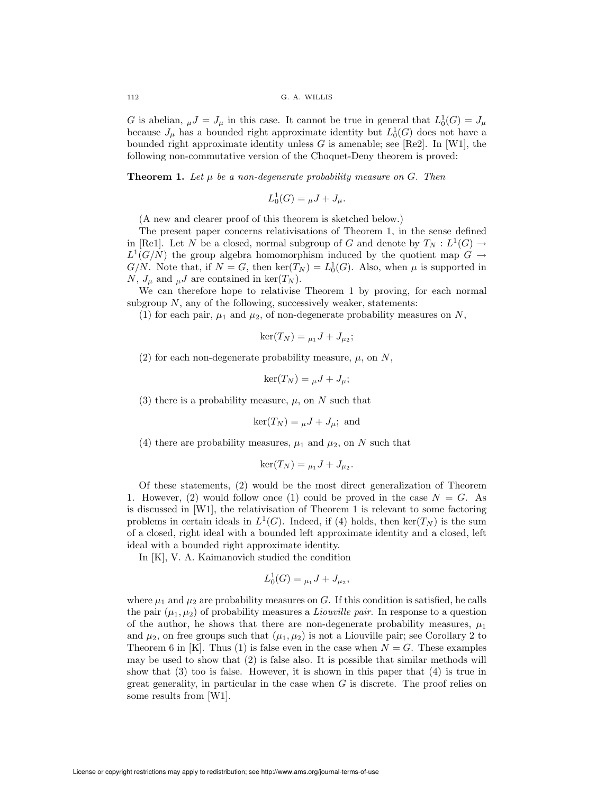G is abelian,  $_{\mu}J = J_{\mu}$  in this case. It cannot be true in general that  $L_0^1(G) = J_{\mu}$ because  $J_{\mu}$  has a bounded right approximate identity but  $L_0^1(G)$  does not have a bounded right approximate identity unless  $G$  is amenable; see [Re2]. In [W1], the following non-commutative version of the Choquet-Deny theorem is proved:

**Theorem 1.** Let  $\mu$  be a non-degenerate probability measure on G. Then

$$
L_0^1(G) = \mu J + J_\mu.
$$

(A new and clearer proof of this theorem is sketched below.)

The present paper concerns relativisations of Theorem 1, in the sense defined in [Re1]. Let N be a closed, normal subgroup of G and denote by  $T_N : L^1(G) \to$  $L^1(G/N)$  the group algebra homomorphism induced by the quotient map  $G \to$  $G/N$ . Note that, if  $N = G$ , then  $\ker(T_N) = L_0^1(G)$ . Also, when  $\mu$  is supported in N,  $J_{\mu}$  and  $_{\mu}J$  are contained in ker(T<sub>N</sub>).

We can therefore hope to relativise Theorem 1 by proving, for each normal subgroup  $N$ , any of the following, successively weaker, statements:

(1) for each pair,  $\mu_1$  and  $\mu_2$ , of non-degenerate probability measures on N,

$$
\ker(T_N) = \mu_1 J + J_{\mu_2};
$$

(2) for each non-degenerate probability measure,  $\mu$ , on N,

$$
\ker(T_N) = \mu J + J_\mu;
$$

(3) there is a probability measure,  $\mu$ , on N such that

$$
\ker(T_N) = {}_{\mu}J + J_{\mu};
$$
 and

(4) there are probability measures,  $\mu_1$  and  $\mu_2$ , on N such that

$$
ker(T_N) = \mu_1 J + J_{\mu_2}.
$$

Of these statements, (2) would be the most direct generalization of Theorem 1. However, (2) would follow once (1) could be proved in the case  $N = G$ . As is discussed in [W1], the relativisation of Theorem 1 is relevant to some factoring problems in certain ideals in  $L^1(G)$ . Indeed, if (4) holds, then ker( $T_N$ ) is the sum of a closed, right ideal with a bounded left approximate identity and a closed, left ideal with a bounded right approximate identity.

In [K], V. A. Kaimanovich studied the condition

$$
L_0^1(G) = {}_{\mu_1}J + J_{\mu_2},
$$

where  $\mu_1$  and  $\mu_2$  are probability measures on G. If this condition is satisfied, he calls the pair  $(\mu_1, \mu_2)$  of probability measures a *Liouville pair*. In response to a question of the author, he shows that there are non-degenerate probability measures,  $\mu_1$ and  $\mu_2$ , on free groups such that  $(\mu_1, \mu_2)$  is not a Liouville pair; see Corollary 2 to Theorem 6 in [K]. Thus (1) is false even in the case when  $N = G$ . These examples may be used to show that (2) is false also. It is possible that similar methods will show that (3) too is false. However, it is shown in this paper that (4) is true in great generality, in particular in the case when  $G$  is discrete. The proof relies on some results from [W1].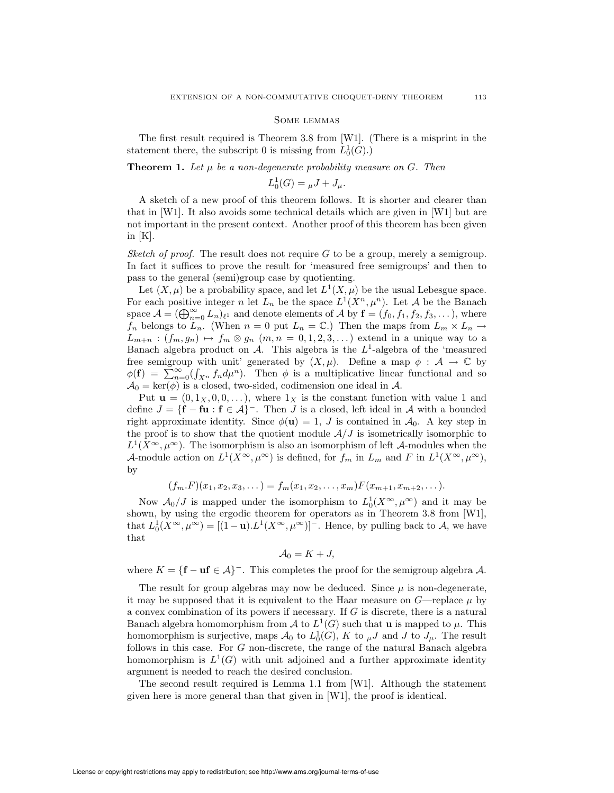#### Some lemmas

The first result required is Theorem 3.8 from [W1]. (There is a misprint in the statement there, the subscript 0 is missing from  $L_0^1(G)$ .)

**Theorem 1.** Let  $\mu$  be a non-degenerate probability measure on G. Then

$$
L_0^1(G) = \mu J + J_\mu.
$$

A sketch of a new proof of this theorem follows. It is shorter and clearer than that in [W1]. It also avoids some technical details which are given in [W1] but are not important in the present context. Another proof of this theorem has been given in  $[K]$ .

Sketch of proof. The result does not require  $G$  to be a group, merely a semigroup. In fact it suffices to prove the result for 'measured free semigroups' and then to pass to the general (semi)group case by quotienting.

Let  $(X, \mu)$  be a probability space, and let  $L^1(X, \mu)$  be the usual Lebesgue space. For each positive integer n let  $L_n$  be the space  $L^1(X^n, \mu^n)$ . Let A be the Banach space  $\mathcal{A} = (\bigoplus_{n=0}^{\infty} L_n)_{\ell^1}$  and denote elements of A by  $\mathbf{f} = (f_0, f_1, f_2, f_3, \dots)$ , where  $f_n$  belongs to  $L_n$ . (When  $n = 0$  put  $L_n = \mathbb{C}$ .) Then the maps from  $L_m \times L_n \to$  $L_{m+n}$ :  $(f_m, g_n) \mapsto f_m \otimes g_n$   $(m, n = 0, 1, 2, 3, ...)$  extend in a unique way to a Banach algebra product on  $A$ . This algebra is the  $L^1$ -algebra of the 'measured free semigroup with unit' generated by  $(X, \mu)$ . Define a map  $\phi : A \to \mathbb{C}$  by  $\phi(\mathbf{f}) = \sum_{n=0}^{\infty} (\int_{X^n} f_n d\mu^n)$ . Then  $\phi$  is a multiplicative linear functional and so  $\mathcal{A}_0 = \ker(\phi)$  is a closed, two-sided, codimension one ideal in  $\mathcal{A}$ .

Put  $\mathbf{u} = (0, 1_X, 0, 0, \dots)$ , where  $1_X$  is the constant function with value 1 and define  $J = \{f - fu : f \in \mathcal{A}\}$ . Then J is a closed, left ideal in A with a bounded right approximate identity. Since  $\phi(\mathbf{u}) = 1$ , J is contained in  $\mathcal{A}_0$ . A key step in the proof is to show that the quotient module  $A/J$  is isometrically isomorphic to  $L^1(X^{\infty}, \mu^{\infty})$ . The isomorphism is also an isomorphism of left A-modules when the A-module action on  $L^1(X^{\infty}, \mu^{\infty})$  is defined, for  $f_m$  in  $L_m$  and F in  $L^1(X^{\infty}, \mu^{\infty})$ , by

$$
(f_m.F)(x_1, x_2, x_3, \dots) = f_m(x_1, x_2, \dots, x_m) F(x_{m+1}, x_{m+2}, \dots).
$$

Now  $\mathcal{A}_0/J$  is mapped under the isomorphism to  $L_0^1(X^{\infty}, \mu^{\infty})$  and it may be shown, by using the ergodic theorem for operators as in Theorem 3.8 from [W1], that  $L_0^1(X^{\infty}, \mu^{\infty}) = [(1-\mathbf{u}).L^1(X^{\infty}, \mu^{\infty})]^{-}$ . Hence, by pulling back to A, we have that

$$
\mathcal{A}_0 = K + J,
$$

where  $K = \{f - uf \in \mathcal{A}\}$ . This completes the proof for the semigroup algebra A.

The result for group algebras may now be deduced. Since  $\mu$  is non-degenerate, it may be supposed that it is equivalent to the Haar measure on  $G$ —replace  $\mu$  by a convex combination of its powers if necessary. If G is discrete, there is a natural Banach algebra homomorphism from A to  $L^1(G)$  such that **u** is mapped to  $\mu$ . This homomorphism is surjective, maps  $\mathcal{A}_0$  to  $L_0^1(G)$ , K to  $\mu J$  and J to  $J_\mu$ . The result follows in this case. For G non-discrete, the range of the natural Banach algebra homomorphism is  $L^1(G)$  with unit adjoined and a further approximate identity argument is needed to reach the desired conclusion.

The second result required is Lemma 1.1 from [W1]. Although the statement given here is more general than that given in [W1], the proof is identical.

License or copyright restrictions may apply to redistribution; see http://www.ams.org/journal-terms-of-use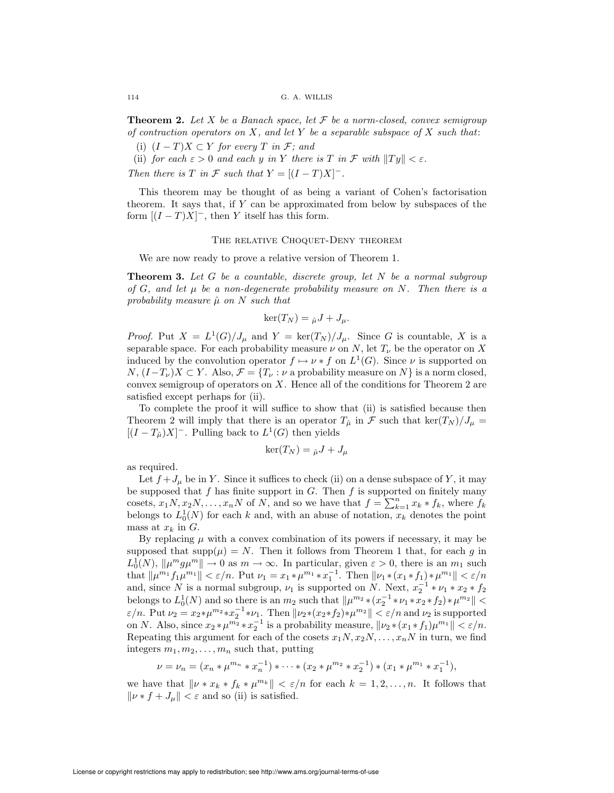**Theorem 2.** Let X be a Banach space, let  $\mathcal F$  be a norm-closed, convex semigroup of contraction operators on  $X$ , and let Y be a separable subspace of  $X$  such that:

(i)  $(I - T)X \subset Y$  for every T in F; and

(ii) for each  $\varepsilon > 0$  and each y in Y there is T in F with  $||Ty|| < \varepsilon$ .

Then there is T in F such that  $Y = [(I - T)X]$ <sup>-</sup>.

This theorem may be thought of as being a variant of Cohen's factorisation theorem. It says that, if Y can be approximated from below by subspaces of the form  $[(I-T)X]^-$ , then Y itself has this form.

#### THE RELATIVE CHOQUET-DENY THEOREM

We are now ready to prove a relative version of Theorem 1.

**Theorem 3.** Let G be a countable, discrete group, let N be a normal subgroup of  $G$ , and let  $\mu$  be a non-degenerate probability measure on N. Then there is a probability measure  $\hat{\mu}$  on N such that

$$
\ker(T_N) = \hat{\mu}J + J_{\mu}.
$$

*Proof.* Put  $X = L^1(G)/J_\mu$  and  $Y = \text{ker}(T_N)/J_\mu$ . Since G is countable, X is a separable space. For each probability measure  $\nu$  on N, let  $T_{\nu}$  be the operator on X induced by the convolution operator  $f \mapsto \nu * f$  on  $L^1(G)$ . Since  $\nu$  is supported on  $N, (I-T_{\nu})X \subset Y$ . Also,  $\mathcal{F} = \{T_{\nu} : \nu \text{ a probability measure on } N \}$  is a norm closed, convex semigroup of operators on  $X$ . Hence all of the conditions for Theorem 2 are satisfied except perhaps for (ii).

To complete the proof it will suffice to show that (ii) is satisfied because then Theorem 2 will imply that there is an operator  $T_{\hat{\mu}}$  in F such that  $\ker(T_N)/J_{\mu}$  =  $[(I - T_{\hat{\mu}})X]$ <sup>-</sup>. Pulling back to  $L^1(G)$  then yields

$$
\ker(T_N) = \hat{\mu}J + J_{\mu}
$$

as required.

Let  $f + J_\mu$  be in Y. Since it suffices to check (ii) on a dense subspace of Y, it may be supposed that f has finite support in  $G$ . Then f is supported on finitely many cosets,  $x_1N, x_2N,\ldots, x_nN$  of N, and so we have that  $f = \sum_{k=1}^n x_k * f_k$ , where  $f_k$ belongs to  $L_0^1(N)$  for each k and, with an abuse of notation,  $x_k$  denotes the point mass at  $x_k$  in  $G$ .

By replacing  $\mu$  with a convex combination of its powers if necessary, it may be supposed that  $\text{supp}(\mu) = N$ . Then it follows from Theorem 1 that, for each g in  $L_0^1(N)$ ,  $\|\mu^m g \mu^m\| \to 0$  as  $m \to \infty$ . In particular, given  $\varepsilon > 0$ , there is an  $m_1$  such that  $|| \mu^{m_1} f_1 \mu^{m_1} || < \varepsilon / n$ . Put  $\nu_1 = x_1 \ast \mu^{m_1} \ast x_1^{-1}$ . Then  $|| \nu_1 \ast (x_1 \ast f_1) \ast \mu^{m_1} || < \varepsilon / n$ and, since N is a normal subgroup,  $\nu_1$  is supported on N. Next,  $x_2^{-1} * \nu_1 * x_2 * f_2$ belongs to  $L_0^1(N)$  and so there is an  $m_2$  such that  $\|\mu^{m_2}*(x_2^{-1}*\nu_1*x_2*f_2)*\mu^{m_2}\|$  $\varepsilon/n$ . Put  $\nu_2 = x_2 * \mu^{m_2} * x_2^{-1} * \nu_1$ . Then  $\|\nu_2 * (x_2 * f_2) * \mu^{m_2}\| < \varepsilon/n$  and  $\nu_2$  is supported on N. Also, since  $x_2 * \mu^{m_2} * x_2^{-1}$  is a probability measure,  $\|\nu_2 * (x_1 * f_1)\mu^{m_1}\| < \varepsilon/n$ . Repeating this argument for each of the cosets  $x_1N, x_2N,\ldots, x_nN$  in turn, we find integers  $m_1, m_2, \ldots, m_n$  such that, putting

$$
\nu = \nu_n = (x_n * \mu^{m_n} * x_n^{-1}) * \cdots * (x_2 * \mu^{m_2} * x_2^{-1}) * (x_1 * \mu^{m_1} * x_1^{-1}),
$$

we have that  $\|\nu \times x_k \times f_k \times \mu^{m_k}\| < \varepsilon/n$  for each  $k = 1, 2, ..., n$ . It follows that  $\|\nu * f + J_\mu\| < \varepsilon$  and so (ii) is satisfied.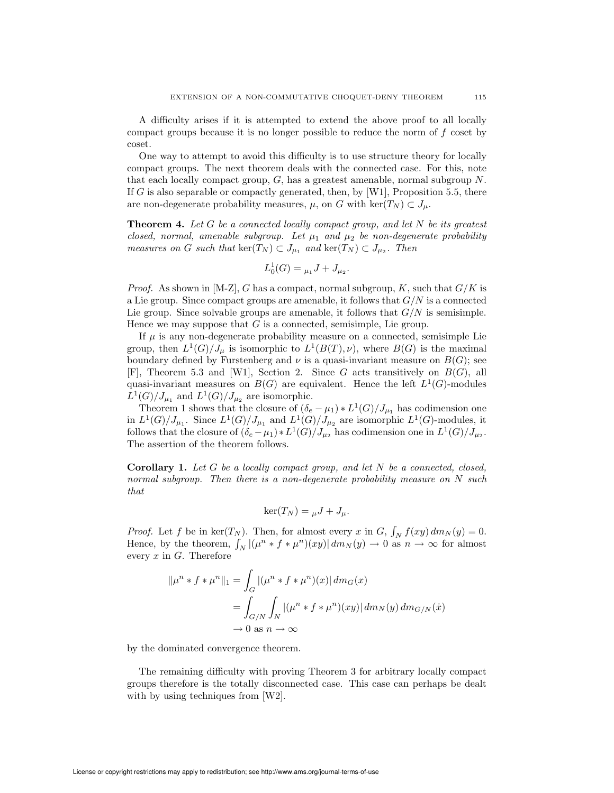A difficulty arises if it is attempted to extend the above proof to all locally compact groups because it is no longer possible to reduce the norm of f coset by coset.

One way to attempt to avoid this difficulty is to use structure theory for locally compact groups. The next theorem deals with the connected case. For this, note that each locally compact group, G, has a greatest amenable, normal subgroup N. If G is also separable or compactly generated, then, by [W1], Proposition 5.5, there are non-degenerate probability measures,  $\mu$ , on G with ker $(T_N) \subset J_\mu$ .

**Theorem 4.** Let G be a connected locally compact group, and let  $N$  be its greatest closed, normal, amenable subgroup. Let  $\mu_1$  and  $\mu_2$  be non-degenerate probability measures on G such that  $\ker(T_N) \subset J_{\mu_1}$  and  $\ker(T_N) \subset J_{\mu_2}$ . Then

$$
L_0^1(G) = \mu_1 J + J_{\mu_2}.
$$

*Proof.* As shown in [M-Z], G has a compact, normal subgroup, K, such that  $G/K$  is a Lie group. Since compact groups are amenable, it follows that  $G/N$  is a connected Lie group. Since solvable groups are amenable, it follows that  $G/N$  is semisimple. Hence we may suppose that  $G$  is a connected, semisimple, Lie group.

If  $\mu$  is any non-degenerate probability measure on a connected, semisimple Lie group, then  $L^1(G)/J_\mu$  is isomorphic to  $L^1(B(T), \nu)$ , where  $B(G)$  is the maximal boundary defined by Furstenberg and  $\nu$  is a quasi-invariant measure on  $B(G)$ ; see  $[F]$ , Theorem 5.3 and [W1], Section 2. Since G acts transitively on  $B(G)$ , all quasi-invariant measures on  $B(G)$  are equivalent. Hence the left  $L^1(G)$ -modules  $L^1(G)/J_{\mu_1}$  and  $L^1(G)/J_{\mu_2}$  are isomorphic.

Theorem 1 shows that the closure of  $(\delta_e - \mu_1) * L^1(G)/J_{\mu_1}$  has codimension one in  $L^1(G)/J_{\mu_1}$ . Since  $L^1(G)/J_{\mu_1}$  and  $L^1(G)/J_{\mu_2}$  are isomorphic  $L^1(G)$ -modules, it follows that the closure of  $(\delta_e - \mu_1) * L^1(G)/J_{\mu_2}$  has codimension one in  $L^1(G)/J_{\mu_2}$ . The assertion of the theorem follows.

**Corollary 1.** Let  $G$  be a locally compact group, and let  $N$  be a connected, closed, normal subgroup. Then there is a non-degenerate probability measure on N such that

$$
\ker(T_N) = \mu J + J_\mu.
$$

*Proof.* Let f be in  $\ker(T_N)$ . Then, for almost every x in G,  $\int_N f(xy) dm_N(y) = 0$ . Hence, by the theorem,  $\int_N |(\mu^n * f * \mu^n)(xy)| dm_N(y) \to 0$  as  $n \to \infty$  for almost every  $x$  in  $G$ . Therefore

$$
\|\mu^n * f * \mu^n\|_1 = \int_G |(\mu^n * f * \mu^n)(x)| dm_G(x)
$$
  
= 
$$
\int_{G/N} \int_N |(\mu^n * f * \mu^n)(xy)| dm_N(y) dm_{G/N}(\dot{x})
$$
  

$$
\to 0 \text{ as } n \to \infty
$$

by the dominated convergence theorem.

The remaining difficulty with proving Theorem 3 for arbitrary locally compact groups therefore is the totally disconnected case. This case can perhaps be dealt with by using techniques from [W2].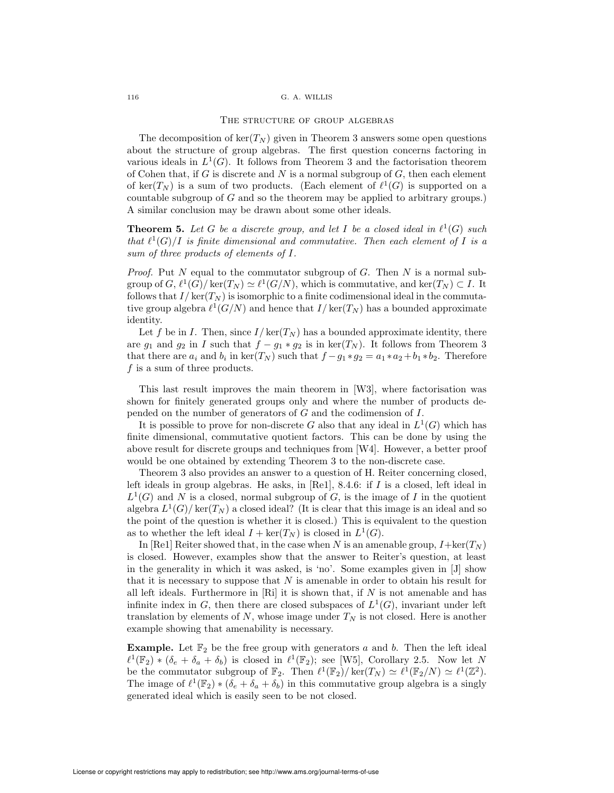### THE STRUCTURE OF GROUP ALGEBRAS

The decomposition of  $\ker(T_N)$  given in Theorem 3 answers some open questions about the structure of group algebras. The first question concerns factoring in various ideals in  $L^1(G)$ . It follows from Theorem 3 and the factorisation theorem of Cohen that, if G is discrete and N is a normal subgroup of  $G$ , then each element of ker( $T_N$ ) is a sum of two products. (Each element of  $\ell^1(G)$  is supported on a countable subgroup of G and so the theorem may be applied to arbitrary groups.) A similar conclusion may be drawn about some other ideals.

**Theorem 5.** Let G be a discrete group, and let I be a closed ideal in  $\ell^1(G)$  such that  $\ell^1(G)/I$  is finite dimensional and commutative. Then each element of I is a sum of three products of elements of I.

*Proof.* Put N equal to the commutator subgroup of G. Then N is a normal subgroup of  $G, \ell^1(G)/\ker(T_N) \simeq \ell^1(G/N)$ , which is commutative, and  $\ker(T_N) \subset I$ . It follows that  $I/\ker(T_N)$  is isomorphic to a finite codimensional ideal in the commutative group algebra  $\ell^1(G/N)$  and hence that  $I/\ker(T_N)$  has a bounded approximate identity.

Let f be in I. Then, since  $I/\ker(T_N)$  has a bounded approximate identity, there are  $g_1$  and  $g_2$  in I such that  $f - g_1 * g_2$  is in ker( $T_N$ ). It follows from Theorem 3 that there are  $a_i$  and  $b_i$  in ker( $T_N$ ) such that  $f - g_1 * g_2 = a_1 * a_2 + b_1 * b_2$ . Therefore  $f$  is a sum of three products.

This last result improves the main theorem in [W3], where factorisation was shown for finitely generated groups only and where the number of products depended on the number of generators of G and the codimension of I.

It is possible to prove for non-discrete G also that any ideal in  $L^1(G)$  which has finite dimensional, commutative quotient factors. This can be done by using the above result for discrete groups and techniques from [W4]. However, a better proof would be one obtained by extending Theorem 3 to the non-discrete case.

Theorem 3 also provides an answer to a question of H. Reiter concerning closed, left ideals in group algebras. He asks, in [Re1], 8.4.6: if I is a closed, left ideal in  $L^1(G)$  and N is a closed, normal subgroup of G, is the image of I in the quotient algebra  $L^1(G)/\ker(T_N)$  a closed ideal? (It is clear that this image is an ideal and so the point of the question is whether it is closed.) This is equivalent to the question as to whether the left ideal  $I + \text{ker}(T_N)$  is closed in  $L^1(G)$ .

In [Re1] Reiter showed that, in the case when N is an amenable group,  $I + \text{ker}(T_N)$ is closed. However, examples show that the answer to Reiter's question, at least in the generality in which it was asked, is 'no'. Some examples given in [J] show that it is necessary to suppose that  $N$  is amenable in order to obtain his result for all left ideals. Furthermore in  $\lbrack \mathrm{Ri} \rbrack$  it is shown that, if N is not amenable and has infinite index in G, then there are closed subspaces of  $L^1(G)$ , invariant under left translation by elements of  $N$ , whose image under  $T_N$  is not closed. Here is another example showing that amenability is necessary.

**Example.** Let  $\mathbb{F}_2$  be the free group with generators a and b. Then the left ideal  $\ell^1(\mathbb{F}_2) * (\delta_e + \delta_a + \delta_b)$  is closed in  $\ell^1(\mathbb{F}_2)$ ; see [W5], Corollary 2.5. Now let N be the commutator subgroup of  $\mathbb{F}_2$ . Then  $\ell^1(\mathbb{F}_2)/\ker(T_N) \simeq \ell^1(\mathbb{F}_2/N) \simeq \ell^1(\mathbb{Z}^2)$ . The image of  $\ell^1(\mathbb{F}_2) * (\delta_e + \delta_a + \delta_b)$  in this commutative group algebra is a singly generated ideal which is easily seen to be not closed.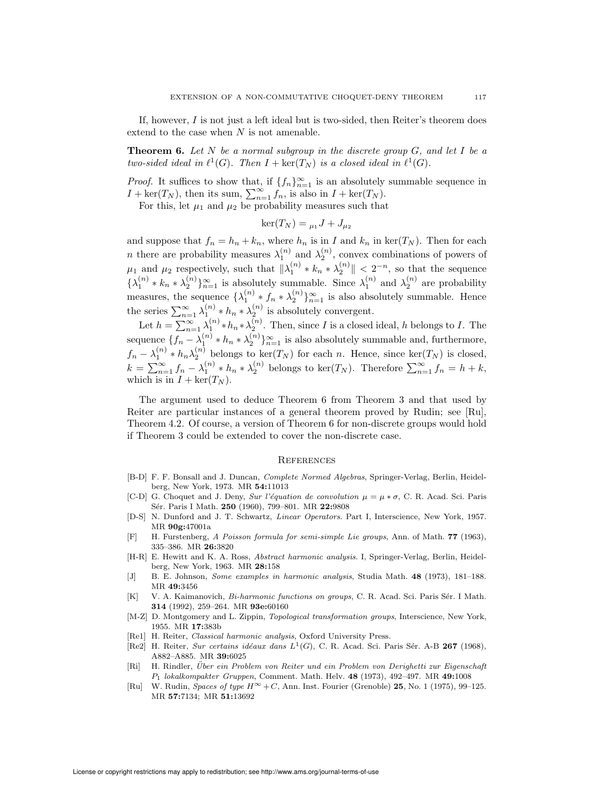If, however,  $I$  is not just a left ideal but is two-sided, then Reiter's theorem does extend to the case when  $N$  is not amenable.

**Theorem 6.** Let N be a normal subgroup in the discrete group  $G$ , and let I be a two-sided ideal in  $\ell^1(G)$ . Then  $I + \text{ker}(T_N)$  is a closed ideal in  $\ell^1(G)$ .

*Proof.* It suffices to show that, if  $\{f_n\}_{n=1}^{\infty}$  is an absolutely summable sequence in  $I + \text{ker}(T_N)$ , then its sum,  $\sum_{n=1}^{\infty} f_n$ , is also in  $I + \text{ker}(T_N)$ .

For this, let  $\mu_1$  and  $\mu_2$  be probability measures such that

$$
\ker(T_N) = \mu_1 J + J_{\mu_2}
$$

and suppose that  $f_n = h_n + k_n$ , where  $h_n$  is in I and  $k_n$  in ker( $T_N$ ). Then for each *n* there are probability measures  $\lambda_1^{(n)}$  and  $\lambda_2^{(n)}$ , convex combinations of powers of 1 and  $\lambda_2$  $\mu_1$  and  $\mu_2$  respectively, such that  $\|\lambda_1^{(n)} * k_n * \lambda_2^{(n)}\| < 2^{-n}$ , so that the sequence  $\{\lambda_1^{(n)} * k_n * \lambda_2^{(n)}\}_{n=1}^{\infty}$  is absolutely summable. Since  $\lambda_1^{(n)}$  and  $\lambda_2^{(n)}$  are probability measures, the sequence  $\{\lambda_1^{(n)} * f_n * \lambda_2^{(n)}\}_{n=1}^\infty$  is also absolutely summable. Hence the series  $\sum_{n=1}^{\infty} \lambda_1^{(n)} * h_n * \lambda_2^{(n)}$  is absolutely convergent.

Let  $h = \sum_{n=1}^{\infty} \lambda_1^{(n)} * h_n * \lambda_2^{(n)}$ . Then, since I is a closed ideal, h belongs to I. The sequence  $\{f_n - \lambda_1^{(n)} * h_n * \lambda_2^{(n)}\}_{n=1}^{\infty}$  is also absolutely summable and, furthermore,  $f_n - \lambda_1^{(n)} * h_n \lambda_2^{(n)}$  belongs to ker( $T_N$ ) for each n. Hence, since ker( $T_N$ ) is closed,  $k = \sum_{n=1}^{\infty} f_n - \lambda_1^{(n)} * h_n * \lambda_2^{(n)}$  belongs to ker $(T_N)$ . Therefore  $\sum_{n=1}^{\infty} f_n = h + k$ , which is in  $I + \text{ker}(T_N)$ .

The argument used to deduce Theorem 6 from Theorem 3 and that used by Reiter are particular instances of a general theorem proved by Rudin; see [Ru], Theorem 4.2. Of course, a version of Theorem 6 for non-discrete groups would hold if Theorem 3 could be extended to cover the non-discrete case.

#### **REFERENCES**

- [B-D] F. F. Bonsall and J. Duncan, Complete Normed Algebras, Springer-Verlag, Berlin, Heidelberg, New York, 1973. MR 54:11013
- [C-D] G. Choquet and J. Deny, Sur l'équation de convolution  $\mu = \mu * \sigma$ , C. R. Acad. Sci. Paris Sér. Paris I Math. 250 (1960), 799–801. MR 22:9808
- [D-S] N. Dunford and J. T. Schwartz, Linear Operators. Part I, Interscience, New York, 1957. MR 90g:47001a
- [F] H. Furstenberg, A Poisson formula for semi-simple Lie groups, Ann. of Math. 77 (1963), 335–386. MR 26:3820
- [H-R] E. Hewitt and K. A. Ross, Abstract harmonic analysis. I, Springer-Verlag, Berlin, Heidelberg, New York, 1963. MR 28:158
- [J] B. E. Johnson, Some examples in harmonic analysis, Studia Math. 48 (1973), 181–188. MR 49:3456
- [K] V. A. Kaimanovich, Bi-harmonic functions on groups, C. R. Acad. Sci. Paris Sér. I Math. 314 (1992), 259–264. MR 93e:60160
- [M-Z] D. Montgomery and L. Zippin, Topological transformation groups, Interscience, New York, 1955. MR 17:383b
- [Re1] H. Reiter, *Classical harmonic analysis*, Oxford University Press.
- [Re2] H. Reiter, Sur certains idéaux dans  $L^1(G)$ , C. R. Acad. Sci. Paris Sér. A-B 267 (1968), A882–A885. MR 39:6025
- [Ri] H. Rindler, Über ein Problem von Reiter und ein Problem von Derighetti zur Eigenschaft P<sup>1</sup> lokalkompakter Gruppen, Comment. Math. Helv. 48 (1973), 492–497. MR 49:1008
- [Ru] W. Rudin, Spaces of type  $H^{\infty} + C$ , Ann. Inst. Fourier (Grenoble) 25, No. 1 (1975), 99–125. MR 57:7134; MR 51:13692